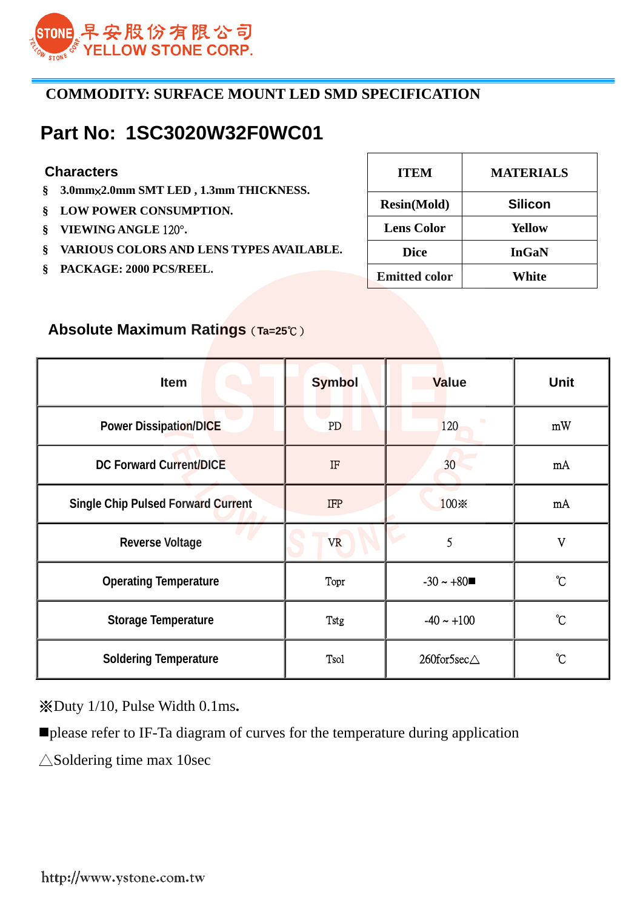

## **COMMODITY: SURFACE MOUNT LED SMD SPECIFICATION**

## **Part No: 1SC3020W32F0WC01**

#### **Characters**

- **§ 3.0mm**×**2.0mm SMT LED , 1.3mm THICKNESS.**
- **§ LOW POWER CONSUMPTION.**
- **§ VIEWING ANGLE** 120**°.**
- **§ VARIOUS COLORS AND LENS TYPES AVAILABLE.**
- **§ PACKAGE: 2000 PCS/REEL.**

| <b>ITEM</b>          | <b>MATERIALS</b> |
|----------------------|------------------|
| <b>Resin(Mold)</b>   | <b>Silicon</b>   |
| <b>Lens Color</b>    | <b>Yellow</b>    |
| <b>Dice</b>          | <b>InGaN</b>     |
| <b>Emitted color</b> | White            |

## **Absolute Maximum Ratings**(**Ta=25**℃)

| <b>Item</b>                               | <b>Symbol</b> | <b>Value</b>    | <b>Unit</b>       |
|-------------------------------------------|---------------|-----------------|-------------------|
| <b>Power Dissipation/DICE</b>             | PD            | 120             | mW                |
| <b>DC Forward Current/DICE</b>            | $\rm I\!F$    | 30 <sup>°</sup> | mA                |
| <b>Single Chip Pulsed Forward Current</b> | <b>IFP</b>    | 100※            | mA                |
| <b>Reverse Voltage</b>                    | <b>VR</b>     | 5               | $\overline{V}$    |
| <b>Operating Temperature</b>              | Topr          | $-30 \sim +80$  | $\rm ^{\circ}\!C$ |
| <b>Storage Temperature</b>                | Tstg          | $-40 \sim +100$ | $\rm ^{\circ}\!C$ |
| <b>Soldering Temperature</b>              | <b>Tsol</b>   | 260for5sec∆     | $\rm ^{\circ}\!C$ |

※Duty 1/10, Pulse Width 0.1ms**.** 

please refer to IF-Ta diagram of curves for the temperature during application

 $\triangle$ Soldering time max 10sec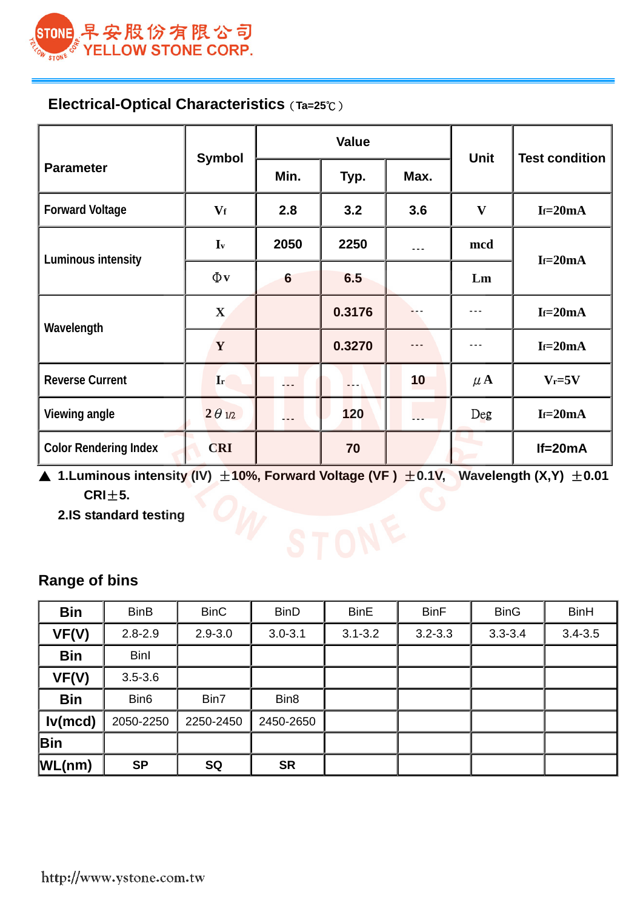

## **Electrical-Optical Characteristics**(**Ta=25**℃)

|                              |                |                 | <b>Value</b> | <b>Unit</b> |                           |                       |  |
|------------------------------|----------------|-----------------|--------------|-------------|---------------------------|-----------------------|--|
| <b>Parameter</b>             | <b>Symbol</b>  | Min.            | Typ.         | Max.        |                           | <b>Test condition</b> |  |
| <b>Forward Voltage</b>       | $\mathbf{V_f}$ | 2.8             | 3.2          | 3.6         | $\boldsymbol{\mathrm{V}}$ | $If=20mA$             |  |
| Luminous intensity           | $I_{v}$        | 2050            | 2250         | $- - -$     | mcd                       | $If=20mA$             |  |
|                              | $\Phi$ v       | $6\phantom{1}6$ | 6.5          |             | Lm                        |                       |  |
|                              | $\mathbf{X}$   |                 | 0.3176       |             | $- - -$                   | $If=20mA$             |  |
| Wavelength                   | $\mathbf{Y}$   |                 | 0.3270       | - - -       | ---                       | $If=20mA$             |  |
| <b>Reverse Current</b>       | Ir             | $\mathbf{L}$    |              | 10          | $\mu$ A                   | $V_r = 5V$            |  |
| Viewing angle                | $2 \theta$ 1/2 | $\overline{a}$  | 120          | ---         | Deg                       | $If=20mA$             |  |
| <b>Color Rendering Index</b> | <b>CRI</b>     |                 | 70           |             |                           | $If = 20mA$           |  |

▲ 1.Luminous intensity (IV)  $\pm$ 10%, Forward Voltage (VF)  $\pm$ 0.1V, Wavelength (X,Y)  $\pm$ 0.01  **CRI**±**5.** 

 **2.IS standard testing** 

# **Range of bins**

| <b>Bin</b> | <b>BinB</b>      | <b>BinC</b> | <b>BinD</b>      | <b>BinE</b> | <b>BinF</b> | <b>BinG</b> | <b>BinH</b> |
|------------|------------------|-------------|------------------|-------------|-------------|-------------|-------------|
| VF(V)      | $2.8 - 2.9$      | $2.9 - 3.0$ | $3.0 - 3.1$      | $3.1 - 3.2$ | $3.2 - 3.3$ | $3.3 - 3.4$ | $3.4 - 3.5$ |
| <b>Bin</b> | <b>Binl</b>      |             |                  |             |             |             |             |
| VF(V)      | $3.5 - 3.6$      |             |                  |             |             |             |             |
| <b>Bin</b> | Bin <sub>6</sub> | Bin7        | Bin <sub>8</sub> |             |             |             |             |
| Iv(mcd)    | 2050-2250        | 2250-2450   | 2450-2650        |             |             |             |             |
| Bin        |                  |             |                  |             |             |             |             |
| WL(nm)     | <b>SP</b>        | <b>SQ</b>   | <b>SR</b>        |             |             |             |             |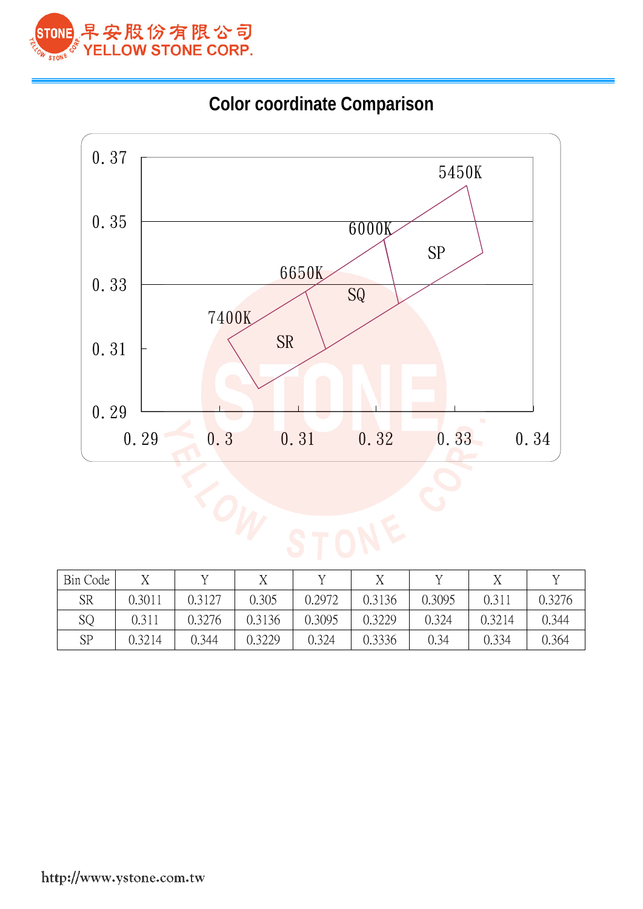





| Bin Code | $\tau$ | $\tau$ | $\tau$ |        |        |        |        |        |
|----------|--------|--------|--------|--------|--------|--------|--------|--------|
| SR       | 0.3011 | 0.3127 | 0.305  | 0.2972 | 0.3136 | 0.3095 | 0.311  | 0.3276 |
| SQ       | 0.311  | 0.3276 | 0.3136 | 0.3095 | 0.3229 | 0.324  | 0.3214 | 0.344  |
| SP       | 0.3214 | 0.344  | 0.3229 | 0.324  | 0.3336 | 0.34   | 0.334  | 0.364  |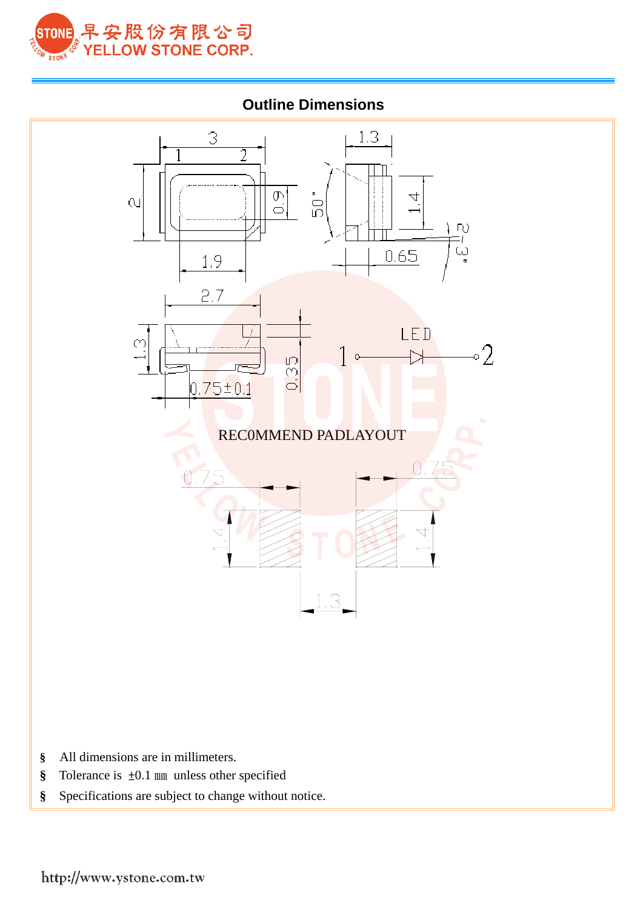

## **Outline Dimensions**



- **§** All dimensions are in millimeters.
- **§** Tolerance is ±0.1 ㎜ unless other specified
- **§** Specifications are subject to change without notice.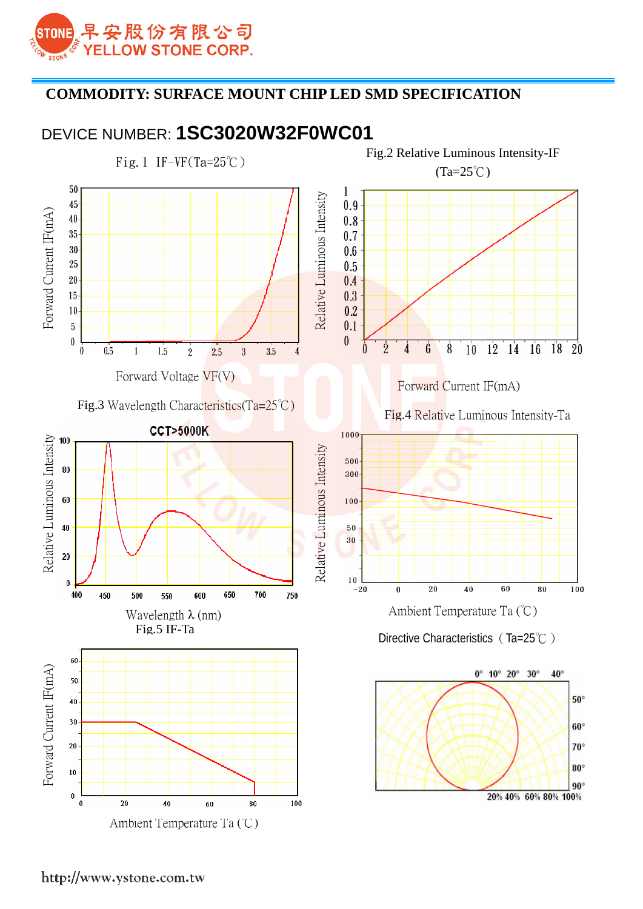

## **COMMODITY: SURFACE MOUNT CHIP LED SMD SPECIFICATION**

## DEVICE NUMBER: **1SC3020W32F0WC01**

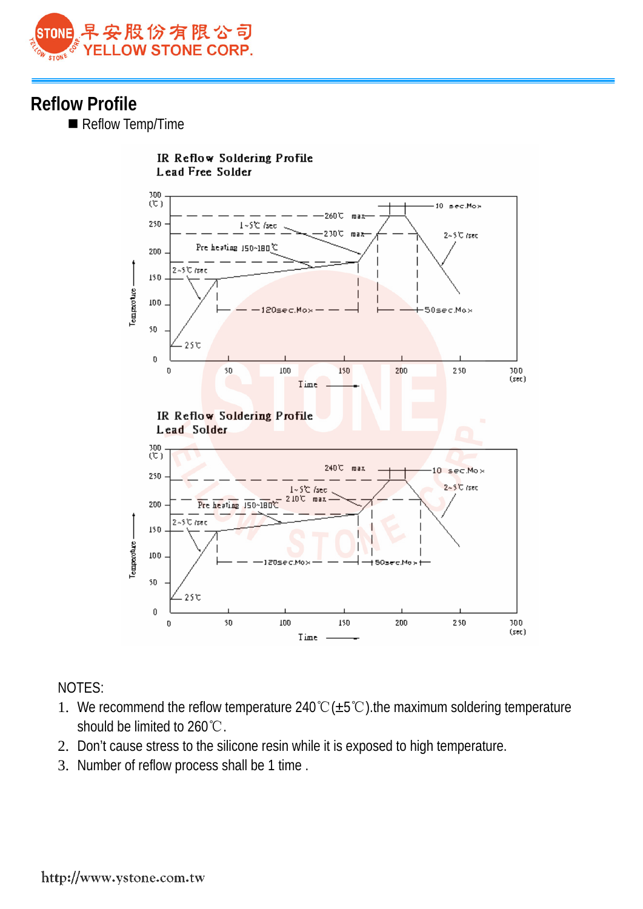

## **Reflow Profile**

Reflow Temp/Time



### NOTES:

- 1. We recommend the reflow temperature 240℃(±5℃).the maximum soldering temperature should be limited to 260℃.
- 2. Don't cause stress to the silicone resin while it is exposed to high temperature.
- 3. Number of reflow process shall be 1 time .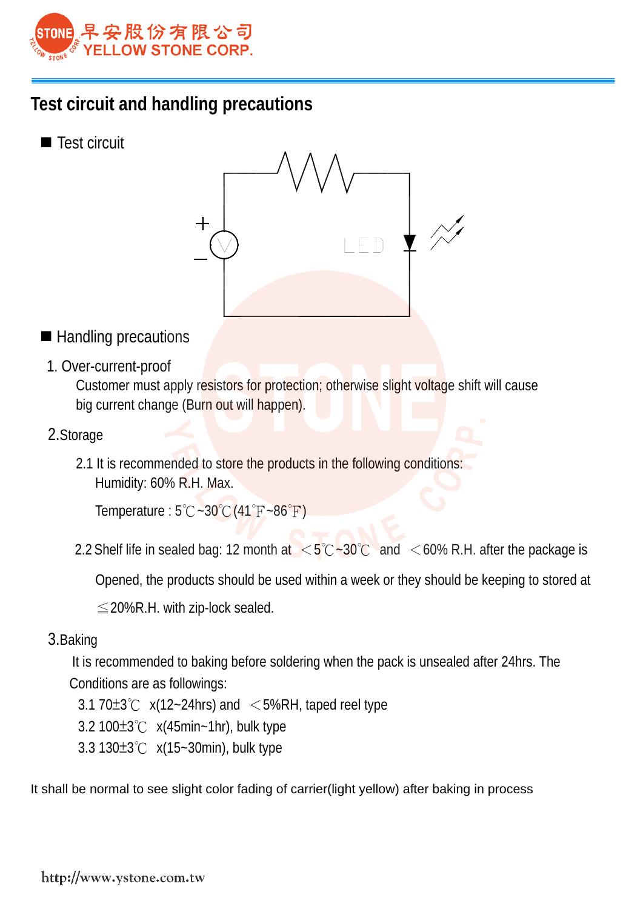

## **Test circuit and handling precautions**

■ Test circuit



- Handling precautions
	- 1. Over-current-proof

Customer must apply resistors for protection; otherwise slight voltage shift will cause big current change (Burn out will happen).

- 2.Storage
	- 2.1 It is recommended to store the products in the following conditions: Humidity: 60% R.H. Max.

Temperature : 5℃~30℃(41℉~86℉)

2.2 Shelf life in sealed bag: 12 month at  $\langle 5^{\circ}C - 30^{\circ}C \rangle$  and  $\langle 60^{\circ}C \rangle$  R.H. after the package is

Opened, the products should be used within a week or they should be keeping to stored at 

 $\leq$  20%R.H. with zip-lock sealed.

3.Baking

 It is recommended to baking before soldering when the pack is unsealed after 24hrs. The Conditions are as followings:

- $3.1$  70 $\pm$ 3℃ x(12~24hrs) and  $\leq$  5%RH, taped reel type
- 3.2 100±3℃ x(45min~1hr), bulk type
- 3.3 130±3℃ x(15~30min), bulk type

It shall be normal to see slight color fading of carrier(light yellow) after baking in process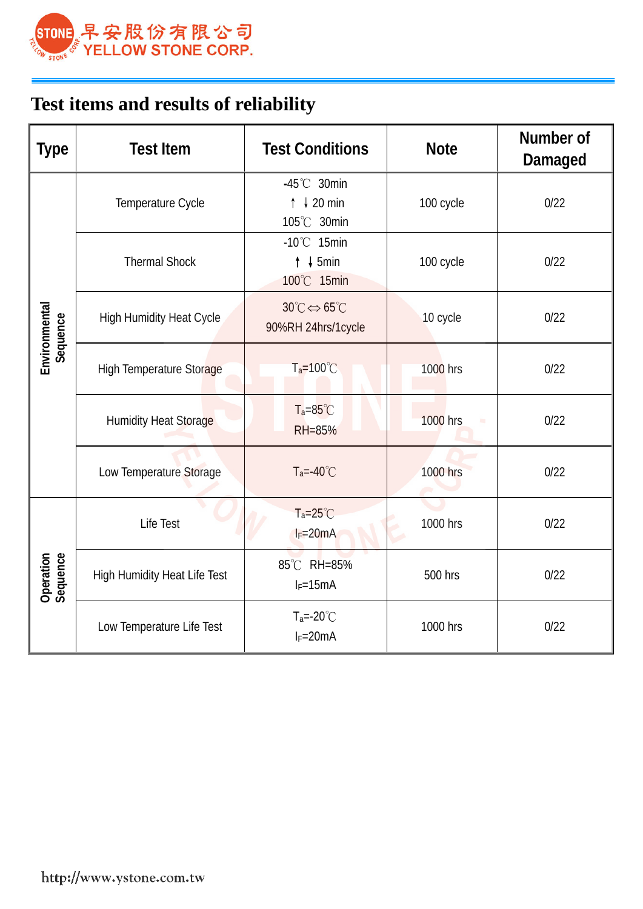

# **Test items and results of reliability**

| <b>Type</b>               | <b>Test Item</b>                    | <b>Test Conditions</b>                                               | <b>Note</b>     | Number of<br>Damaged |
|---------------------------|-------------------------------------|----------------------------------------------------------------------|-----------------|----------------------|
|                           | Temperature Cycle                   | $-45^{\circ}$ C 30min<br>$\uparrow \downarrow 20$ min<br>105°C 30min | 100 cycle       | 0/22                 |
|                           | <b>Thermal Shock</b>                | $-10^{\circ}$ C 15min<br>$\uparrow$ ↓ 5min<br>100°C 15min            | 100 cycle       | 0/22                 |
| Environmental<br>Sequence | <b>High Humidity Heat Cycle</b>     | $30^{\circ}C \Leftrightarrow 65^{\circ}C$<br>90%RH 24hrs/1cycle      | 10 cycle        | 0/22                 |
|                           | <b>High Temperature Storage</b>     | $T_a = 100^{\circ}C$                                                 | <b>1000 hrs</b> | 0/22                 |
|                           | <b>Humidity Heat Storage</b>        | $T_a = 85^{\circ}C$<br>RH=85%                                        | <b>1000 hrs</b> | 0/22                 |
|                           | Low Temperature Storage             | $T_a = -40^{\circ}$ C                                                | 1000 hrs        | 0/22                 |
|                           | Life Test                           | $Ta=25^{\circ}C$<br>$I_F = 20mA$                                     | 1000 hrs        | 0/22                 |
| Operation<br>Sequence     | <b>High Humidity Heat Life Test</b> | 85°C RH=85%<br>$I_F = 15mA$                                          | 500 hrs         | 0/22                 |
|                           | Low Temperature Life Test           | $T_a = -20^{\circ}$<br>$I_F = 20mA$                                  | 1000 hrs        | 0/22                 |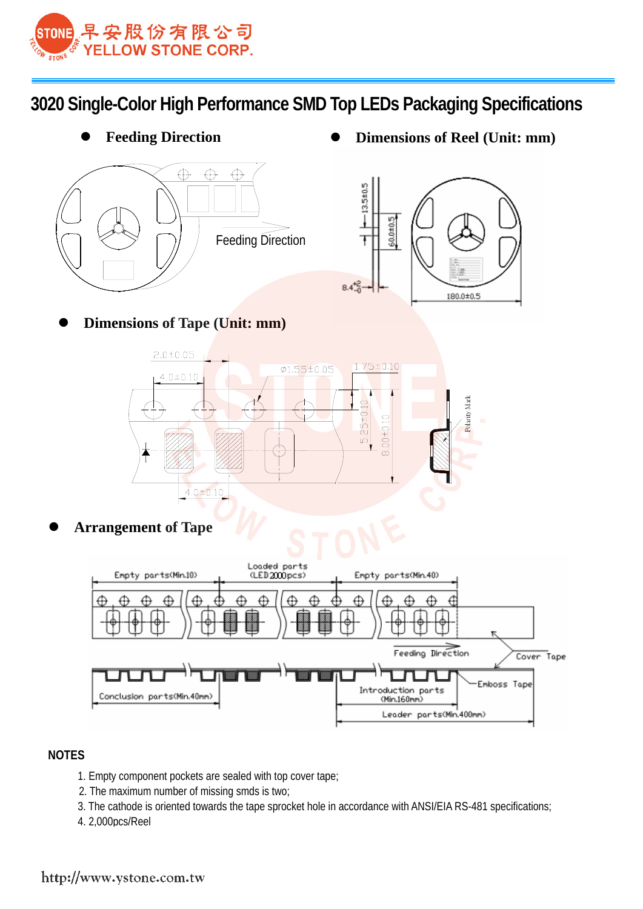

**3020 Single-Color High Performance SMD Top LEDs Packaging Specifications**



**Feeding Direction ● Dimensions of Reel** (Unit: mm)



z **Dimensions of Tape (Unit: mm)** 



**Arrangement of Tape** 



#### **NOTES**

- 1. Empty component pockets are sealed with top cover tape;
- 2. The maximum number of missing smds is two;
- 3. The cathode is oriented towards the tape sprocket hole in accordance with ANSI/EIA RS-481 specifications;
- 4. 2,000pcs/Reel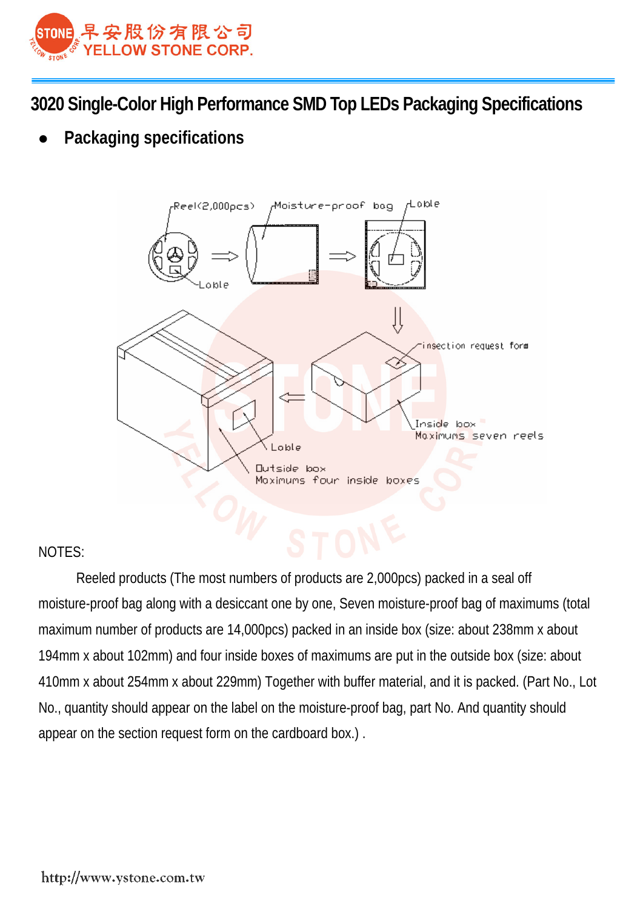

**3020 Single-Color High Performance SMD Top LEDs Packaging Specifications**

**Packaging specifications** 



### NOTES:

Reeled products (The most numbers of products are 2,000pcs) packed in a seal off moisture-proof bag along with a desiccant one by one, Seven moisture-proof bag of maximums (total maximum number of products are 14,000pcs) packed in an inside box (size: about 238mm x about 194mm x about 102mm) and four inside boxes of maximums are put in the outside box (size: about 410mm x about 254mm x about 229mm) Together with buffer material, and it is packed. (Part No., Lot No., quantity should appear on the label on the moisture-proof bag, part No. And quantity should appear on the section request form on the cardboard box.) .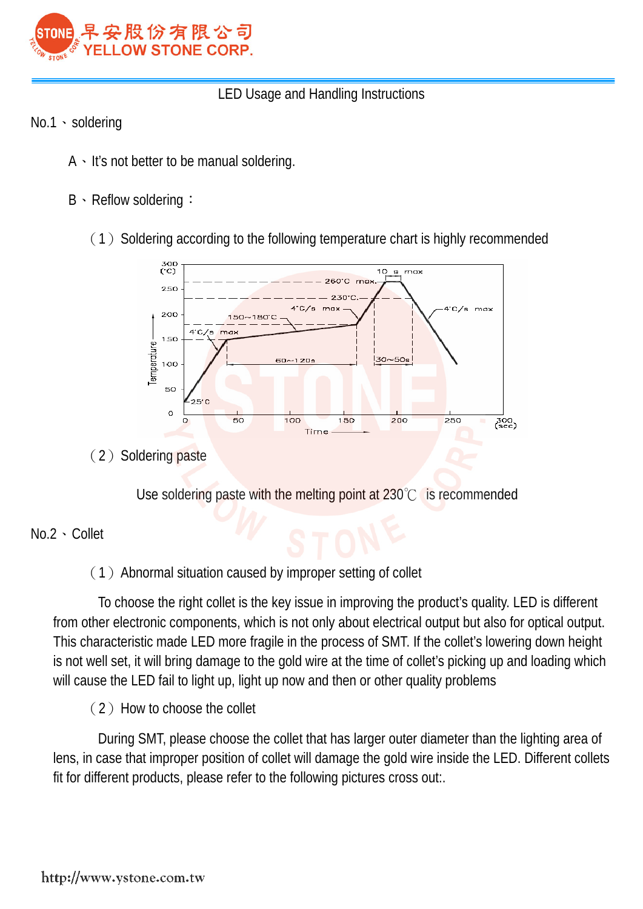

## LED Usage and Handling Instructions

- No.1、soldering
	- A、It's not better to be manual soldering.
	- B、Reflow soldering:
		- $(1)$  Soldering according to the following temperature chart is highly recommended



(2) Soldering paste

Use soldering paste with the melting point at 230℃ is recommended

### No.2、Collet

## (1)Abnormal situation caused by improper setting of collet

To choose the right collet is the key issue in improving the product's quality. LED is different from other electronic components, which is not only about electrical output but also for optical output. This characteristic made LED more fragile in the process of SMT. If the collet's lowering down height is not well set, it will bring damage to the gold wire at the time of collet's picking up and loading which will cause the LED fail to light up, light up now and then or other quality problems <u>and the state of the sta</u>

(2) How to choose the collet

During SMT, please choose the collet that has larger outer diameter than the lighting area of lens, in case that improper position of collet will damage the gold wire inside the LED. Different collets fit for different products, please refer to the following pictures cross out:.